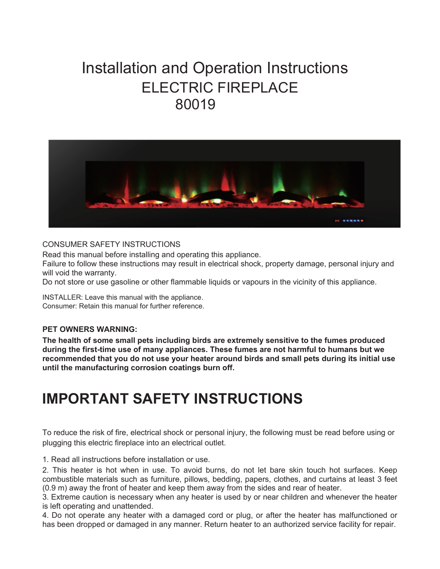# Installation and Operation Instructions ELECTRIC FIREPLACE 80019



#### CONSUMER SAFETY INSTRUCTIONS

Read this manual before installing and operating this appliance.

Failure to follow these instructions may result in electrical shock, property damage, personal injury and will void the warranty.

Do not store or use gasoline or other flammable liquids or vapours in the vicinity of this appliance.

INSTALLER: Leave this manual with the appliance. Consumer: Retain this manual for further reference.

#### **PET OWNERS WARNING:**

**The health of some small pets including birds are extremely sensitive to the fumes produced during the first-time use of many appliances. These fumes are not harmful to humans but we recommended that you do not use your heater around birds and small pets during its initial use until the manufacturing corrosion coatings burn off.** 

# **IMPORTANT SAFETY INSTRUCTIONS**

To reduce the risk of fire, electrical shock or personal injury, the following must be read before using or plugging this electric fireplace into an electrical outlet.

1. Read all instructions before installation or use.

2. This heater is hot when in use. To avoid burns, do not let bare skin touch hot surfaces. Keep combustible materials such as furniture, pillows, bedding, papers, clothes, and curtains at least 3 feet (0.9 m) away the front of heater and keep them away from the sides and rear of heater.

3. Extreme caution is necessary when any heater is used by or near children and whenever the heater is left operating and unattended.

4. Do not operate any heater with a damaged cord or plug, or after the heater has malfunctioned or has been dropped or damaged in any manner. Return heater to an authorized service facility for repair.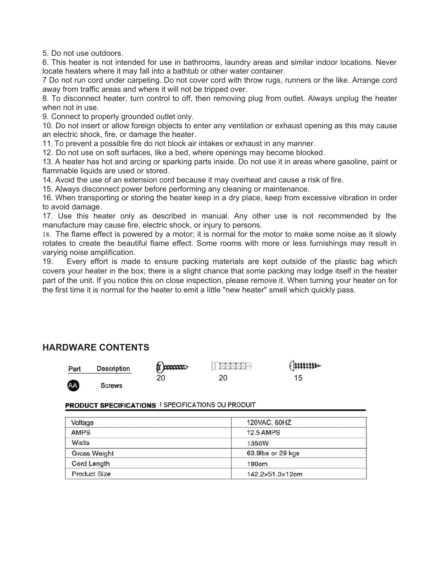5. Do not use outdoors.

6. This heater is not intended for use in bathrooms, laundry areas and similar indoor locations. Never locate heaters where it may fall into a bathtub or other water container.

7 Do not run cord under carpeting. Do not cover cord with throw rugs, runners or the like. Arrange cord away from traffic areas and where it will not be tripped over.

8. To disconnect heater, turn control to off, then removing plug from outlet. Always unplug the heater when not in use.

9. Connect to properly grounded outlet only.

10. Do not insert or allow foreign objects to enter any ventilation or exhaust opening as this may cause an electric shock, fire, or damage the heater.

11. To prevent a possible fire do not block air intakes or exhaust in any manner.

12. Do not use on soft surfaces, like a bed, where openings may become blocked.

13. A heater has hot and arcing or sparking parts inside. Do not use it in areas where gasoline, paint or flammable liquids are used or stored.

14. Avoid the use of an extension cord because it may overheat and cause a risk of fire.

15. Always disconnect power before performing any cleaning or maintenance.

16. When transporting or storing the heater keep in a dry place, keep from excessive vibration in order to avoid damage.

17. Use this heater only as described in manual. Any other use is not recommended by the manufacture may cause fire, electric shock, or injury to persons.

18. The flame effect is powered by a motor; it is normal for the motor to make some noise as it slowly rotates to create the beautiful flame effect. Some rooms with more or less furnishings may result in varying noise amplification.

19. Every effort is made to ensure packing materials are kept outside of the plastic bag which covers your heater in the box; there is a slight chance that some packing may lodge itself in the heater part of the unit. If you notice this on close inspection, please remove it. When turning your heater on for the first time it is normal for the heater to emit a little "new heater" smell which quickly pass.

# **HARDWARE CONTENTS**

| Part | Description | <b>CONTROLLER</b> | HITED 1 | $\frac{1}{2}$ |
|------|-------------|-------------------|---------|---------------|
| AA   | Screws      | 20                | 20      | 15            |

#### **PRODUCT SPECIFICATIONS / SPECIFICATIONS DU PRODUIT**

| Voltage             | 120VAC, 60HZ      |  |
|---------------------|-------------------|--|
| <b>AMPS</b>         | <b>12.5 AMPS</b>  |  |
| Watts               | 1350W             |  |
| Gross Weight        | 63.9lbs or 29 kgs |  |
| Cord Length         | 190cm             |  |
| <b>Product Size</b> | 142.2×51.3×12cm   |  |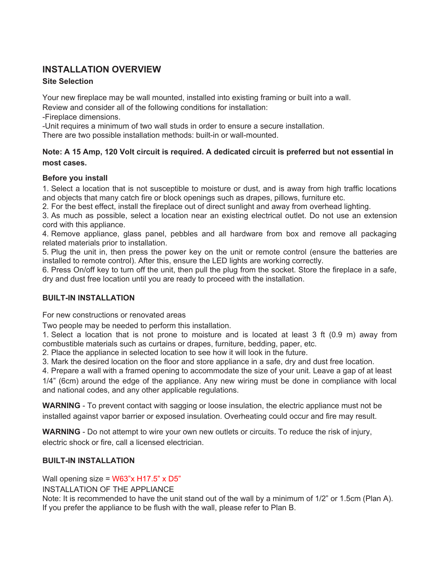# **INSTALLATION OVERVIEW**

## **Site Selection**

Your new fireplace may be wall mounted, installed into existing framing or built into a wall.

Review and consider all of the following conditions for installation:

-Fireplace dimensions.

-Unit requires a minimum of two wall studs in order to ensure a secure installation.

There are two possible installation methods: built-in or wall-mounted.

## **Note: A 15 Amp, 120 Volt circuit is required. A dedicated circuit is preferred but not essential in most cases.**

## **Before you install**

1. Select a location that is not susceptible to moisture or dust, and is away from high traffic locations and objects that many catch fire or block openings such as drapes, pillows, furniture etc.

2. For the best effect, install the fireplace out of direct sunlight and away from overhead lighting.

3. As much as possible, select a location near an existing electrical outlet. Do not use an extension cord with this appliance.

4. Remove appliance, glass panel, pebbles and all hardware from box and remove all packaging related materials prior to installation.

5. Plug the unit in, then press the power key on the unit or remote control (ensure the batteries are installed to remote control). After this, ensure the LED lights are working correctly.

6. Press On/off key to turn off the unit, then pull the plug from the socket. Store the fireplace in a safe, dry and dust free location until you are ready to proceed with the installation.

## **BUILT-IN INSTALLATION**

For new constructions or renovated areas

Two people may be needed to perform this installation.

1. Select a location that is not prone to moisture and is located at least 3 ft (0.9 m) away from combustible materials such as curtains or drapes, furniture, bedding, paper, etc.

2. Place the appliance in selected location to see how it will look in the future.

3. Mark the desired location on the floor and store appliance in a safe, dry and dust free location.

4. Prepare a wall with a framed opening to accommodate the size of your unit. Leave a gap of at least

1/4" (6cm) around the edge of the appliance. Any new wiring must be done in compliance with local and national codes, and any other applicable regulations.

**WARNING** - To prevent contact with sagging or loose insulation, the electric appliance must not be installed against vapor barrier or exposed insulation. Overheating could occur and fire may result.

**WARNING** - Do not attempt to wire your own new outlets or circuits. To reduce the risk of injury, electric shock or fire, call a licensed electrician.

## **BUILT-IN INSTALLATION**

Wall opening size =  $W63"x H17.5"x D5"$ 

INSTALLATION OF THE APPLIANCE

Note: It is recommended to have the unit stand out of the wall by a minimum of 1/2" or 1.5cm (Plan A). If you prefer the appliance to be flush with the wall, please refer to Plan B.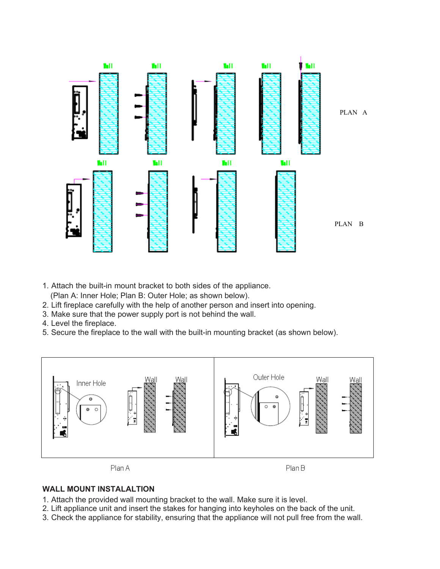

- 1. Attach the built-in mount bracket to both sides of the appliance.
	- (Plan A: Inner Hole; Plan B: Outer Hole; as shown below).
- 2. Lift fireplace carefully with the help of another person and insert into opening.
- 3. Make sure that the power supply port is not behind the wall.
- 4. Level the fireplace.
- 5. Secure the fireplace to the wall with the built-in mounting bracket (as shown below).



#### **WALL MOUNT INSTALALTION**

- 1. Attach the provided wall mounting bracket to the wall. Make sure it is level.
- 2. Lift appliance unit and insert the stakes for hanging into keyholes on the back of the unit.
- 3. Check the appliance for stability, ensuring that the appliance will not pull free from the wall.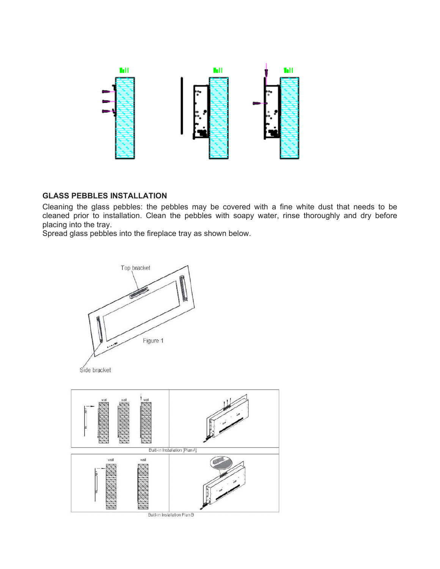

#### **GLASS PEBBLES INSTALLATION**

Cleaning the glass pebbles: the pebbles may be covered with a fine white dust that needs to be cleaned prior to installation. Clean the pebbles with soapy water, rinse thoroughly and dry before placing into the tray.

Spread glass pebbles into the fireplace tray as shown below.



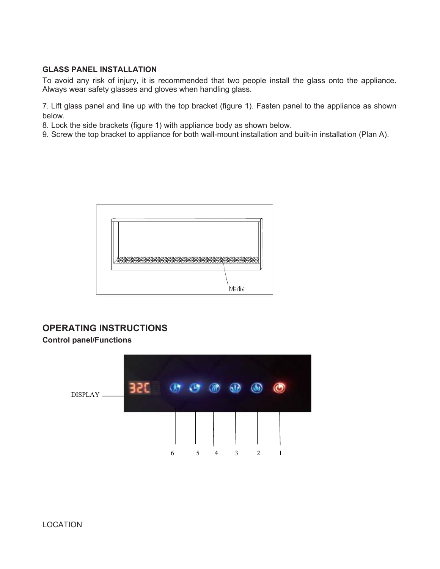#### **GLASS PANEL INSTALLATION**

To avoid any risk of injury, it is recommended that two people install the glass onto the appliance. Always wear safety glasses and gloves when handling glass.

7. Lift glass panel and line up with the top bracket (figure 1). Fasten panel to the appliance as shown below.

8. Lock the side brackets (figure 1) with appliance body as shown below.

9. Screw the top bracket to appliance for both wall-mount installation and built-in installation (Plan A).



# **OPERATING INSTRUCTIONS**

**Control panel/Functions** 

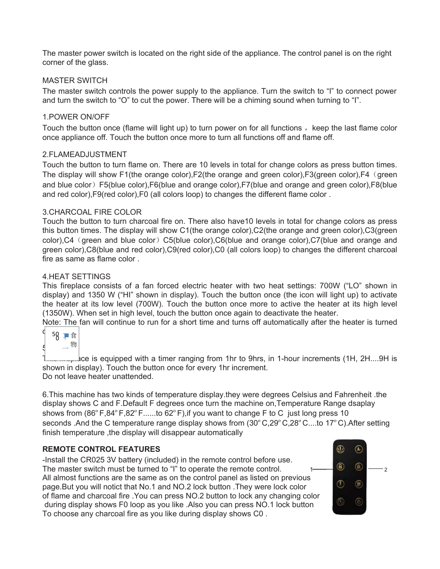The master power switch is located on the right side of the appliance. The control panel is on the right corner of the glass.

#### MASTER SWITCH

The master switch controls the power supply to the appliance. Turn the switch to "I" to connect power and turn the switch to "O" to cut the power. There will be a chiming sound when turning to "I".

#### 1.POWER ON/OFF

Touch the button once (flame will light up) to turn power on for all functions, keep the last flame color once appliance off. Touch the button once more to turn all functions off and flame off.

#### 2.FLAMEADJUSTMENT

Touch the button to turn flame on. There are 10 levels in total for change colors as press button times. The display will show F1(the orange color), F2(the orange and green color), F3(green color), F4 (green and blue color)F5(blue color),F6(blue and orange color),F7(blue and orange and green color),F8(blue and red color),F9(red color),F0 (all colors loop) to changes the different flame color .

#### 3.CHARCOAL FIRE COLOR

Touch the button to turn charcoal fire on. There also have10 levels in total for change colors as press this button times. The display will show C1(the orange color),C2(the orange and green color),C3(green color),C4 (green and blue color) C5(blue color),C6(blue and orange color),C7(blue and orange and green color),C8(blue and red color),C9(red color),C0 (all colors loop) to changes the different charcoal fire as same as flame color .

#### 4.HEAT SETTINGS

This fireplace consists of a fan forced electric heater with two heat settings: 700W ("LO" shown in display) and 1350 W ("HI" shown in display). Touch the button once (the icon will light up) to activate the heater at its low level (700W). Touch the button once more to active the heater at its high level (1350W). When set in high level, touch the button once again to deactivate the heater.

Note: The fan will continue to run for a short time and turns off automatically after the heater is turned

|   | 5<br>Ϋ | 食 |  |
|---|--------|---|--|
| 9 |        | 物 |  |
|   |        |   |  |

 $\sim$  ce is equipped with a timer ranging from 1hr to 9hrs, in 1-hour increments (1H, 2H....9H is shown in display). Touch the button once for every 1hr increment. Do not leave heater unattended.

6.This machine has two kinds of temperature display.they were degrees Celsius and Fahrenheit .the display shows C and F.Default F degrees once turn the machine on,Temperature Range dsaplay shows from  $(86^{\circ}F,84^{\circ}F,82^{\circ}F,....$  to  $62^{\circ}F)$ , if you want to change F to C just long press 10 seconds .And the C temperature range display shows from  $(30^{\circ}$ C,29°C,28°C....to 17°C).After setting finish temperature, the display will disappear automatically

#### **REMOTE CONTROL FEATURES**

-Install the CR025 3V battery (included) in the remote control before use. The master switch must be turned to "I" to operate the remote control.  $1 \rightarrow 0$   $\rightarrow 2$ All almost functions are the same as on the control panel as listed on previous page.But you will notict that No.1 and NO.2 lock button .They were lock color of flame and charcoal fire .You can press NO.2 button to lock any changing color during display shows F0 loop as you like .Also you can press NO.1 lock button To choose any charcoal fire as you like during display shows C0 .